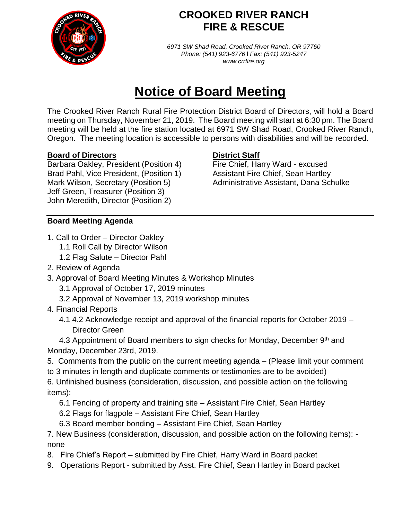

## **CROOKED RIVER RANCH FIRE & RESCUE**

*6971 SW Shad Road, Crooked River Ranch, OR 97760 Phone: (541) 923-6776* l *Fax: (541) 923-5247 www.crrfire.org*

# **Notice of Board Meeting**

The Crooked River Ranch Rural Fire Protection District Board of Directors, will hold a Board meeting on Thursday, November 21, 2019. The Board meeting will start at 6:30 pm. The Board meeting will be held at the fire station located at 6971 SW Shad Road, Crooked River Ranch, Oregon. The meeting location is accessible to persons with disabilities and will be recorded.

### **Board of Directors District Staff**

Barbara Oakley, President (Position 4) Fire Chief, Harry Ward - excused Brad Pahl, Vice President, (Position 1) Assistant Fire Chief, Sean Hartley Jeff Green, Treasurer (Position 3) John Meredith, Director (Position 2)

Mark Wilson, Secretary (Position 5) Administrative Assistant, Dana Schulke

### **Board Meeting Agenda**

- 1. Call to Order Director Oakley
	- 1.1 Roll Call by Director Wilson
		- 1.2 Flag Salute Director Pahl
- 2. Review of Agenda
- 3. Approval of Board Meeting Minutes & Workshop Minutes
	- 3.1 Approval of October 17, 2019 minutes
	- 3.2 Approval of November 13, 2019 workshop minutes
- 4. Financial Reports
	- 4.1 4.2 Acknowledge receipt and approval of the financial reports for October 2019 Director Green

4.3 Appointment of Board members to sign checks for Monday, December 9<sup>th</sup> and Monday, December 23rd, 2019.

5. Comments from the public on the current meeting agenda – (Please limit your comment

to 3 minutes in length and duplicate comments or testimonies are to be avoided)

6. Unfinished business (consideration, discussion, and possible action on the following items):

- 6.1 Fencing of property and training site Assistant Fire Chief, Sean Hartley
- 6.2 Flags for flagpole Assistant Fire Chief, Sean Hartley
- 6.3 Board member bonding Assistant Fire Chief, Sean Hartley

7. New Business (consideration, discussion, and possible action on the following items): none

- 8. Fire Chief's Report submitted by Fire Chief, Harry Ward in Board packet
- 9. Operations Report submitted by Asst. Fire Chief, Sean Hartley in Board packet